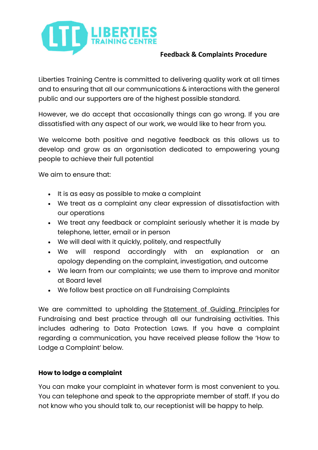

### **Feedback & Complaints Procedure**

Liberties Training Centre is committed to delivering quality work at all times and to ensuring that all our communications & interactions with the general public and our supporters are of the highest possible standard.

However, we do accept that occasionally things can go wrong. If you are dissatisfied with any aspect of our work, we would like to hear from you.

We welcome both positive and negative feedback as this allows us to develop and grow as an organisation dedicated to empowering young people to achieve their full potential

We aim to ensure that:

- It is as easy as possible to make a complaint
- We treat as a complaint any clear expression of dissatisfaction with our operations
- We treat any feedback or complaint seriously whether it is made by telephone, letter, email or in person
- We will deal with it quickly, politely, and respectfully
- We will respond accordingly with an explanation or an apology depending on the complaint, investigation, and outcome
- We learn from our complaints; we use them to improve and monitor at Board level
- We follow best practice on all Fundraising Complaints

We are committed to upholding the Statement of Guiding Principles for Fundraising and best practice through all our fundraising activities. This includes adhering to Data Protection Laws. If you have a complaint regarding a communication, you have received please follow the 'How to Lodge a Complaint' below.

#### **How to lodge a complaint**

You can make your complaint in whatever form is most convenient to you. You can telephone and speak to the appropriate member of staff. If you do not know who you should talk to, our receptionist will be happy to help.